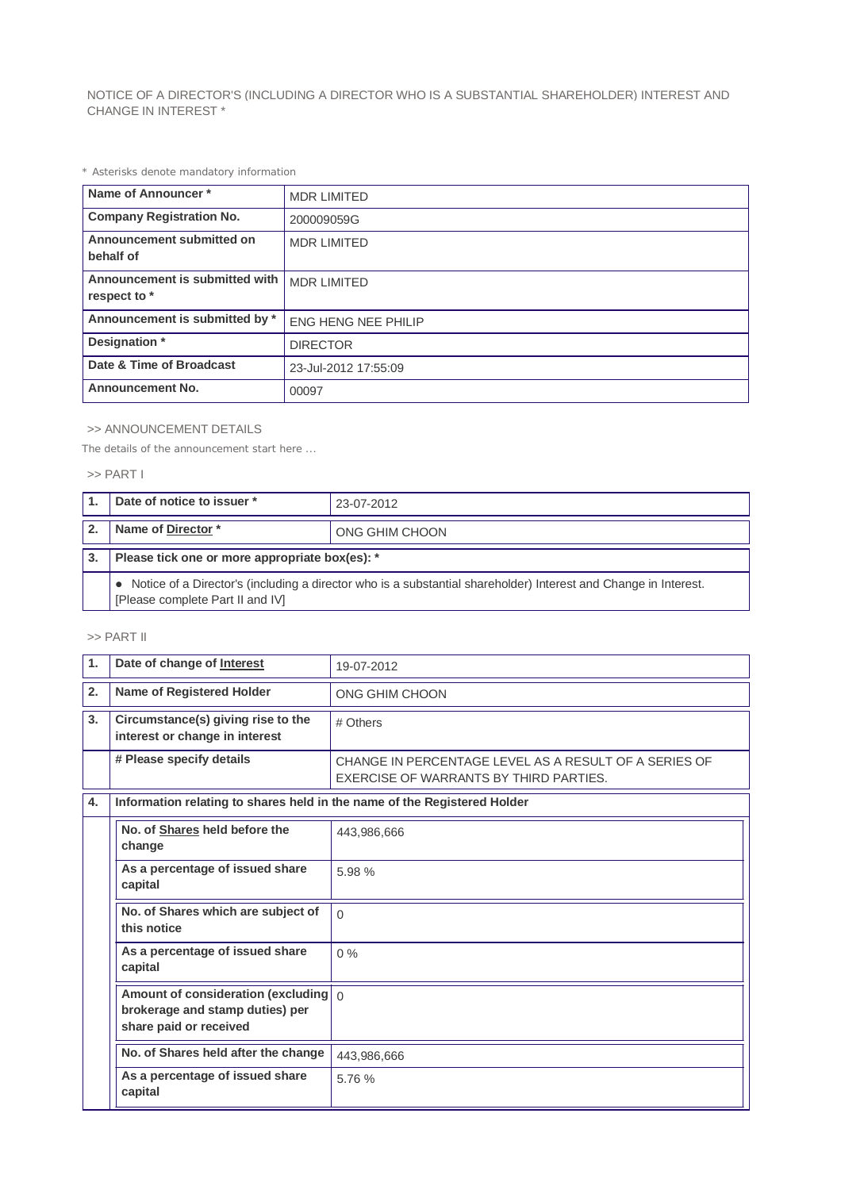NOTICE OF A DIRECTOR'S (INCLUDING A DIRECTOR WHO IS A SUBSTANTIAL SHAREHOLDER) INTEREST AND CHANGE IN INTEREST \*

*\* Asterisks denote mandatory information*

| Name of Announcer*                             | <b>MDR LIMITED</b>         |
|------------------------------------------------|----------------------------|
| <b>Company Registration No.</b>                | 200009059G                 |
| Announcement submitted on<br>behalf of         | <b>MDR LIMITED</b>         |
| Announcement is submitted with<br>respect to * | <b>MDR LIMITED</b>         |
| Announcement is submitted by *                 | <b>ENG HENG NEE PHILIP</b> |
| Designation *                                  | <b>DIRECTOR</b>            |
| Date & Time of Broadcast                       | 23-Jul-2012 17:55:09       |
| <b>Announcement No.</b>                        | 00097                      |

## >> ANNOUNCEMENT DETAILS

*The details of the announcement start here ...*

## >> PART I

| Date of notice to issuer *                                                                                                                            | 23-07-2012     |  |
|-------------------------------------------------------------------------------------------------------------------------------------------------------|----------------|--|
| Name of Director*                                                                                                                                     | ONG GHIM CHOON |  |
| Please tick one or more appropriate box(es): *                                                                                                        |                |  |
| • Notice of a Director's (including a director who is a substantial shareholder) Interest and Change in Interest.<br>[Please complete Part II and IV] |                |  |

## >> PART II

| $\mathbf{1}$ | Date of change of Interest                                                                                 | 19-07-2012                                                                                      |  |
|--------------|------------------------------------------------------------------------------------------------------------|-------------------------------------------------------------------------------------------------|--|
| 2.           | Name of Registered Holder                                                                                  | ONG GHIM CHOON                                                                                  |  |
| 3.           | Circumstance(s) giving rise to the<br>interest or change in interest                                       | # Others                                                                                        |  |
|              | # Please specify details                                                                                   | CHANGE IN PERCENTAGE LEVEL AS A RESULT OF A SERIES OF<br>EXERCISE OF WARRANTS BY THIRD PARTIES. |  |
| 4.           | Information relating to shares held in the name of the Registered Holder                                   |                                                                                                 |  |
|              | No. of Shares held before the<br>change                                                                    | 443,986,666                                                                                     |  |
|              | As a percentage of issued share<br>capital                                                                 | 5.98%                                                                                           |  |
|              | No. of Shares which are subject of<br>this notice                                                          | $\Omega$                                                                                        |  |
|              | As a percentage of issued share<br>capital                                                                 | $0\%$                                                                                           |  |
|              | Amount of consideration (excluding $\int_0^1$<br>brokerage and stamp duties) per<br>share paid or received |                                                                                                 |  |
|              | No. of Shares held after the change                                                                        | 443,986,666                                                                                     |  |
|              | As a percentage of issued share<br>capital                                                                 | 5.76 %                                                                                          |  |